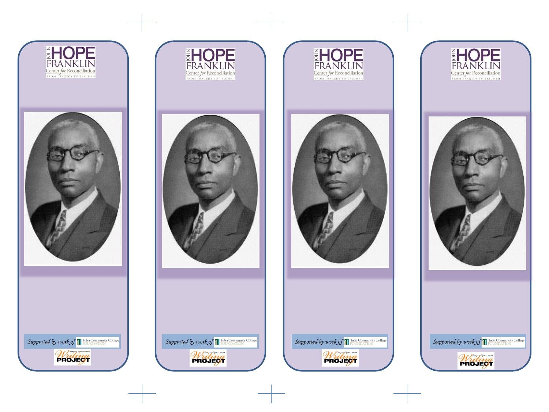